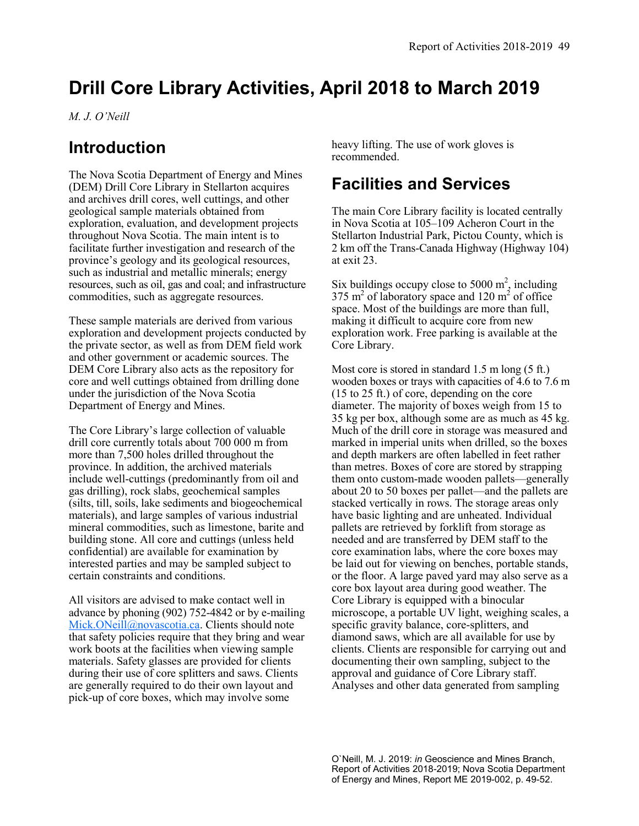# **Drill Core Library Activities, April 2018 to March 2019**

*M. J. O'Neill*

### **Introduction**

The Nova Scotia Department of Energy and Mines (DEM) Drill Core Library in Stellarton acquires and archives drill cores, well cuttings, and other geological sample materials obtained from exploration, evaluation, and development projects throughout Nova Scotia. The main intent is to facilitate further investigation and research of the province's geology and its geological resources, such as industrial and metallic minerals; energy resources, such as oil, gas and coal; and infrastructure commodities, such as aggregate resources.

These sample materials are derived from various exploration and development projects conducted by the private sector, as well as from DEM field work and other government or academic sources. The DEM Core Library also acts as the repository for core and well cuttings obtained from drilling done under the jurisdiction of the Nova Scotia Department of Energy and Mines.

The Core Library's large collection of valuable drill core currently totals about 700 000 m from more than 7,500 holes drilled throughout the province. In addition, the archived materials include well-cuttings (predominantly from oil and gas drilling), rock slabs, geochemical samples (silts, till, soils, lake sediments and biogeochemical materials), and large samples of various industrial mineral commodities, such as limestone, barite and building stone. All core and cuttings (unless held confidential) are available for examination by interested parties and may be sampled subject to certain constraints and conditions.

All visitors are advised to make contact well in advance by phoning (902) 752-4842 or by e-mailing [Mick.ONeill@novascotia.ca.](mailto:Mick.ONeill@novascotia.ca) Clients should note that safety policies require that they bring and wear work boots at the facilities when viewing sample materials. Safety glasses are provided for clients during their use of core splitters and saws. Clients are generally required to do their own layout and pick-up of core boxes, which may involve some

heavy lifting. The use of work gloves is recommended.

## **Facilities and Services**

The main Core Library facility is located centrally in Nova Scotia at 105–109 Acheron Court in the Stellarton Industrial Park, Pictou County, which is 2 km off the Trans-Canada Highway (Highway 104) at exit 23.

Six buildings occupy close to 5000  $m^2$ , including 375 m<sup>2</sup> of laboratory space and 120 m<sup>2</sup> of office space. Most of the buildings are more than full, making it difficult to acquire core from new exploration work. Free parking is available at the Core Library.

Most core is stored in standard 1.5 m long (5 ft.) wooden boxes or trays with capacities of 4.6 to 7.6 m (15 to 25 ft.) of core, depending on the core diameter. The majority of boxes weigh from 15 to 35 kg per box, although some are as much as 45 kg. Much of the drill core in storage was measured and marked in imperial units when drilled, so the boxes and depth markers are often labelled in feet rather than metres. Boxes of core are stored by strapping them onto custom-made wooden pallets—generally about 20 to 50 boxes per pallet—and the pallets are stacked vertically in rows. The storage areas only have basic lighting and are unheated. Individual pallets are retrieved by forklift from storage as needed and are transferred by DEM staff to the core examination labs, where the core boxes may be laid out for viewing on benches, portable stands, or the floor. A large paved yard may also serve as a core box layout area during good weather. The Core Library is equipped with a binocular microscope, a portable UV light, weighing scales, a specific gravity balance, core-splitters, and diamond saws, which are all available for use by clients. Clients are responsible for carrying out and documenting their own sampling, subject to the approval and guidance of Core Library staff. Analyses and other data generated from sampling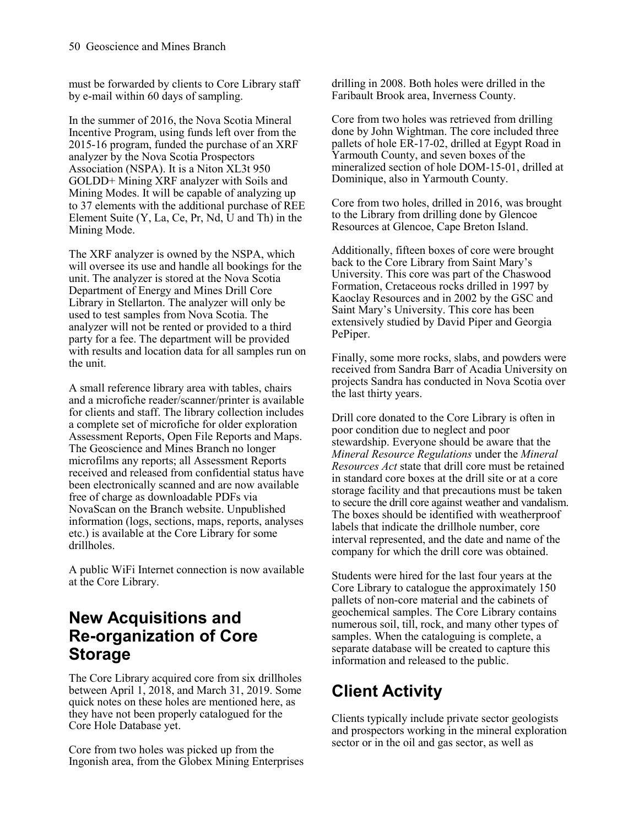must be forwarded by clients to Core Library staff by e-mail within 60 days of sampling.

In the summer of 2016, the Nova Scotia Mineral Incentive Program, using funds left over from the 2015-16 program, funded the purchase of an XRF analyzer by the Nova Scotia Prospectors Association (NSPA). It is a Niton XL3t 950 GOLDD+ Mining XRF analyzer with Soils and Mining Modes. It will be capable of analyzing up to 37 elements with the additional purchase of REE Element Suite (Y, La, Ce, Pr, Nd, U and Th) in the Mining Mode.

The XRF analyzer is owned by the NSPA, which will oversee its use and handle all bookings for the unit. The analyzer is stored at the Nova Scotia Department of Energy and Mines Drill Core Library in Stellarton. The analyzer will only be used to test samples from Nova Scotia. The analyzer will not be rented or provided to a third party for a fee. The department will be provided with results and location data for all samples run on the unit.

A small reference library area with tables, chairs and a microfiche reader/scanner/printer is available for clients and staff. The library collection includes a complete set of microfiche for older exploration Assessment Reports, Open File Reports and Maps. The Geoscience and Mines Branch no longer microfilms any reports; all Assessment Reports received and released from confidential status have been electronically scanned and are now available free of charge as downloadable PDFs via NovaScan on the Branch website. Unpublished information (logs, sections, maps, reports, analyses etc.) is available at the Core Library for some drillholes.

A public WiFi Internet connection is now available at the Core Library.

#### **New Acquisitions and Re-organization of Core Storage**

The Core Library acquired core from six drillholes between April 1, 2018, and March 31, 2019. Some quick notes on these holes are mentioned here, as they have not been properly catalogued for the Core Hole Database yet.

Core from two holes was picked up from the Ingonish area, from the Globex Mining Enterprises

drilling in 2008. Both holes were drilled in the Faribault Brook area, Inverness County.

Core from two holes was retrieved from drilling done by John Wightman. The core included three pallets of hole ER-17-02, drilled at Egypt Road in Yarmouth County, and seven boxes of the mineralized section of hole DOM-15-01, drilled at Dominique, also in Yarmouth County.

Core from two holes, drilled in 2016, was brought to the Library from drilling done by Glencoe Resources at Glencoe, Cape Breton Island.

Additionally, fifteen boxes of core were brought back to the Core Library from Saint Mary's University. This core was part of the Chaswood Formation, Cretaceous rocks drilled in 1997 by Kaoclay Resources and in 2002 by the GSC and Saint Mary's University. This core has been extensively studied by David Piper and Georgia PePiper.

Finally, some more rocks, slabs, and powders were received from Sandra Barr of Acadia University on projects Sandra has conducted in Nova Scotia over the last thirty years.

Drill core donated to the Core Library is often in poor condition due to neglect and poor stewardship. Everyone should be aware that the *Mineral Resource Regulations* under the *Mineral Resources Act* state that drill core must be retained in standard core boxes at the drill site or at a core storage facility and that precautions must be taken to secure the drill core against weather and vandalism. The boxes should be identified with weatherproof labels that indicate the drillhole number, core interval represented, and the date and name of the company for which the drill core was obtained.

Students were hired for the last four years at the Core Library to catalogue the approximately 150 pallets of non-core material and the cabinets of geochemical samples. The Core Library contains numerous soil, till, rock, and many other types of samples. When the cataloguing is complete, a separate database will be created to capture this information and released to the public.

## **Client Activity**

Clients typically include private sector geologists and prospectors working in the mineral exploration sector or in the oil and gas sector, as well as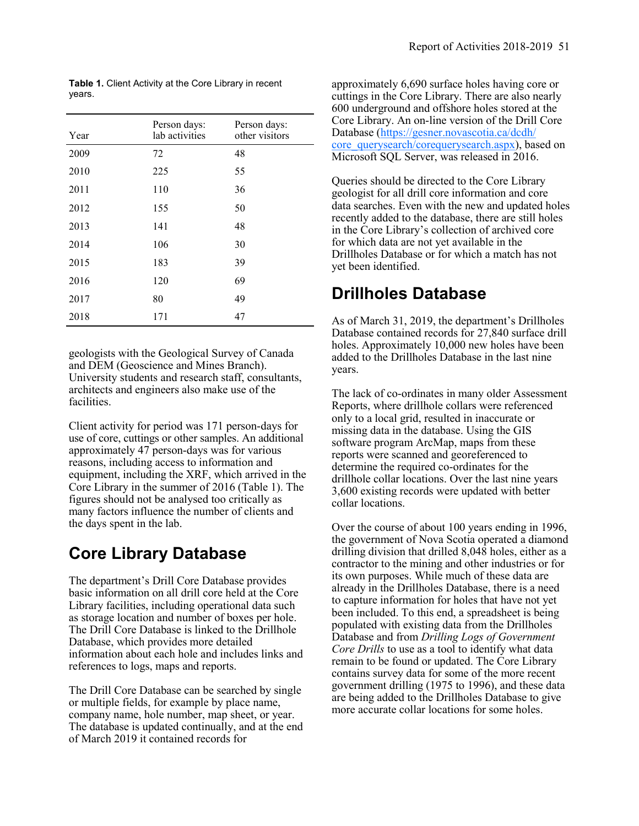| Year | Person days:<br>lab activities | Person days:<br>other visitors |
|------|--------------------------------|--------------------------------|
| 2009 | 72                             | 48                             |
| 2010 | 225                            | 55                             |
| 2011 | 110                            | 36                             |
| 2012 | 155                            | 50                             |
| 2013 | 141                            | 48                             |
| 2014 | 106                            | 30                             |
| 2015 | 183                            | 39                             |
| 2016 | 120                            | 69                             |
| 2017 | 80                             | 49                             |
| 2018 | 171                            | 47                             |

**Table 1.** Client Activity at the Core Library in recent years.

geologists with the Geological Survey of Canada and DEM (Geoscience and Mines Branch). University students and research staff, consultants, architects and engineers also make use of the facilities.

Client activity for period was 171 person-days for use of core, cuttings or other samples. An additional approximately 47 person-days was for various reasons, including access to information and equipment, including the XRF, which arrived in the Core Library in the summer of 2016 (Table 1). The figures should not be analysed too critically as many factors influence the number of clients and the days spent in the lab.

#### **Core Library Database**

The department's Drill Core Database provides basic information on all drill core held at the Core Library facilities, including operational data such as storage location and number of boxes per hole. The Drill Core Database is linked to the Drillhole Database, which provides more detailed information about each hole and includes links and references to logs, maps and reports.

The Drill Core Database can be searched by single or multiple fields, for example by place name, company name, hole number, map sheet, or year. The database is updated continually, and at the end of March 2019 it contained records for

approximately 6,690 surface holes having core or cuttings in the Core Library. There are also nearly 600 underground and offshore holes stored at the Core Library. An on-line version of the Drill Core Database ([https://gesner.novascotia.ca/dcdh/](https://gesner.novascotia.ca/dcdh/core_querysearch/corequerysearch.aspx) [core\\_querysearch/corequerysearch.aspx\)](https://gesner.novascotia.ca/dcdh/core_querysearch/corequerysearch.aspx), based on Microsoft SQL Server, was released in 2016.

Queries should be directed to the Core Library geologist for all drill core information and core data searches. Even with the new and updated holes recently added to the database, there are still holes in the Core Library's collection of archived core for which data are not yet available in the Drillholes Database or for which a match has not yet been identified.

#### **Drillholes Database**

As of March 31, 2019, the department's Drillholes Database contained records for 27,840 surface drill holes. Approximately 10,000 new holes have been added to the Drillholes Database in the last nine years.

The lack of co-ordinates in many older Assessment Reports, where drillhole collars were referenced only to a local grid, resulted in inaccurate or missing data in the database. Using the GIS software program ArcMap, maps from these reports were scanned and georeferenced to determine the required co-ordinates for the drillhole collar locations. Over the last nine years 3,600 existing records were updated with better collar locations.

Over the course of about 100 years ending in 1996, the government of Nova Scotia operated a diamond drilling division that drilled 8,048 holes, either as a contractor to the mining and other industries or for its own purposes. While much of these data are already in the Drillholes Database, there is a need to capture information for holes that have not yet been included. To this end, a spreadsheet is being populated with existing data from the Drillholes Database and from *Drilling Logs of Government Core Drills* to use as a tool to identify what data remain to be found or updated. The Core Library contains survey data for some of the more recent government drilling (1975 to 1996), and these data are being added to the Drillholes Database to give more accurate collar locations for some holes.